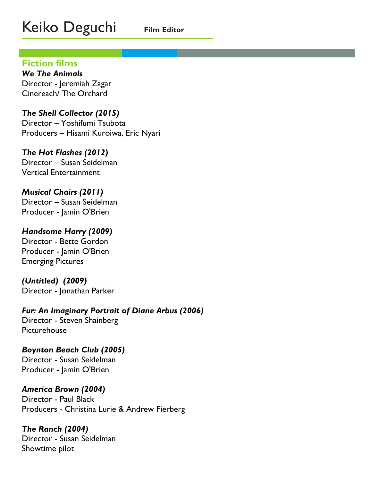# Keiko Deguchi **Film Editor**

## **Fiction films**

*We The Animals* Director - Jeremiah Zagar Cinereach/ The Orchard

*The Shell Collector (2015)* Director – Yoshifumi Tsubota Producers – Hisami Kuroiwa, Eric Nyari

## *The Hot Flashes (2012)*

Director – Susan Seidelman Vertical Entertainment

## *Musical Chairs (2011)*

Director – Susan Seidelman Producer - Jamin O'Brien

## *Handsome Harry (2009)*

Director - Bette Gordon Producer - Jamin O'Brien Emerging Pictures

*(Untitled) (2009)* Director - Jonathan Parker

*Fur: An Imaginary Portrait of Diane Arbus (2006)*  Director - Steven Shainberg Picturehouse

## *Boynton Beach Club (2005)*

Director - Susan Seidelman Producer - Jamin O'Brien

## *America Brown (2004)*

Director - Paul Black Producers - Christina Lurie & Andrew Fierberg

*The Ranch (2004)* Director - Susan Seidelman Showtime pilot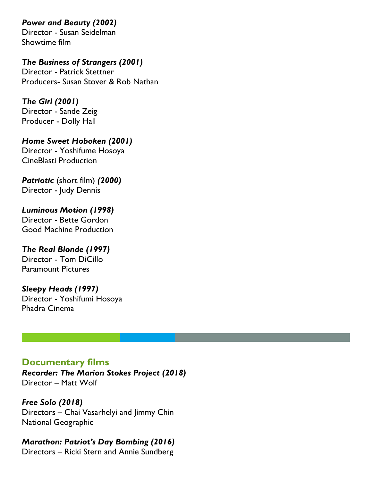## *Power and Beauty (2002)*

Director - Susan Seidelman Showtime film

*The Business of Strangers (2001)* Director - Patrick Stettner Producers- Susan Stover & Rob Nathan

*The Girl (2001)* Director - Sande Zeig Producer - Dolly Hall

*Home Sweet Hoboken (2001)* Director - Yoshifume Hosoya CineBlasti Production

*Patriotic* (short film) *(2000)* Director - Judy Dennis

*Luminous Motion (1998)* Director - Bette Gordon Good Machine Production

*The Real Blonde (1997)* Director - Tom DiCillo Paramount Pictures

*Sleepy Heads (1997)* Director - Yoshifumi Hosoya Phadra Cinema

## **Documentary films**

*Recorder: The Marion Stokes Project (2018)* Director – Matt Wolf

*Free Solo (2018)* Directors – Chai Vasarhelyi and Jimmy Chin National Geographic

*Marathon: Patriot's Day Bombing (2016)* Directors – Ricki Stern and Annie Sundberg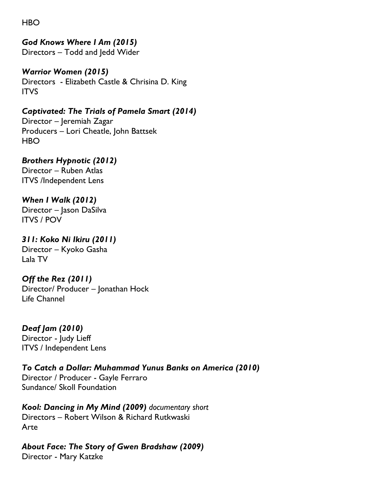HBO

## *God Knows Where I Am (2015)*

Directors – Todd and Jedd Wider

*Warrior Women (2015)* Directors - Elizabeth Castle & Chrisina D. King ITVS

*Captivated: The Trials of Pamela Smart (2014)* Director – Jeremiah Zagar Producers – Lori Cheatle, John Battsek HBO

*Brothers Hypnotic (2012)* Director – Ruben Atlas ITVS /Independent Lens

*When I Walk (2012)* Director – Jason DaSilva ITVS / POV

*311: Koko Ni Ikiru (2011)* Director – Kyoko Gasha Lala TV

*Off the Rez (2011)* Director/ Producer – Jonathan Hock Life Channel

*Deaf Jam (2010)* Director - Judy Lieff ITVS / Independent Lens

*To Catch a Dollar: Muhammad Yunus Banks on America (2010)* Director / Producer - Gayle Ferraro Sundance/ Skoll Foundation

*Kool: Dancing in My Mind (2009) documentary short* Directors – Robert Wilson & Richard Rutkwaski Arte

*About Face: The Story of Gwen Bradshaw (2009)*

Director - Mary Katzke